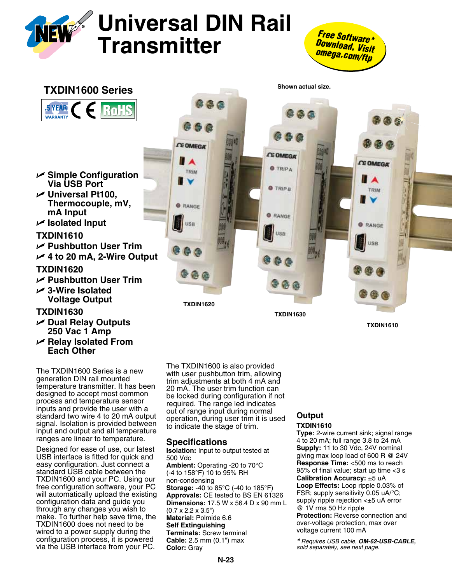





The TXDIN1600 Series is a new generation DIN rail mounted temperature transmitter. It has been designed to accept most common process and temperature sensor inputs and provide the user with a standard two wire 4 to 20 mA output signal. Isolation is provided between input and output and all temperature ranges are linear to temperature.

**Each Other**

Designed for ease of use, our latest USB interface is fitted for quick and easy configuration. Just connect a standard USB cable between the TXDIN1600 and your PC. Using our free configuration software, your PC will automatically upload the existing configuration data and guide you through any changes you wish to make. To further help save time, the TXDIN1600 does not need to be wired to a power supply during the configuration process, it is powered via the USB interface from your PC.

The TXDIN1600 is also provided with user pushbutton trim, allowing trim adjustments at both 4 mA and 20 mA. The user trim function can be locked during configuration if not required. The range led indicates out of range input during normal operation, during user trim it is used to indicate the stage of trim.

# **Specifications**

**Isolation:** Input to output tested at 500 Vdc **Ambient:** Operating -20 to 70°C (-4 to 158°F) 10 to 95% RH non-condensing **Storage:** -40 to 85°C (-40 to 185°F) **Approvals:** CE tested to BS EN 61326 **Dimensions:** 17.5 W x 56.4 D x 90 mm L (0.7 x 2.2 x 3.5") **Material:** Polmide 6.6 **Self Extinguishing Terminals:** Screw terminal **Cable:** 2.5 mm (0.1") max **Color:** Gray

# **Output**

## **TXDIN1610**

**Type:** 2-wire current sink; signal range 4 to 20 mA; full range 3.8 to 24 mA **Supply:** 11 to 30 Vdc, 24V nominal giving max loop load of 600 R @ 24V **Response Time:** <500 ms to reach 95% of final value; start up time <3 s **Calibration Accuracy:** ±5 uA **Loop Effects:** Loop ripple 0.03% of FSR; supply sensitivity 0.05 uA/°C; supply ripple rejection <±5 uA error @ 1V rms 50 Hz ripple **Protection:** Reverse connection and over-voltage protection, max over voltage current 100 mA

*\* Requires USB cable, OM-62-USB-CABLE, sold separately, see next page.*